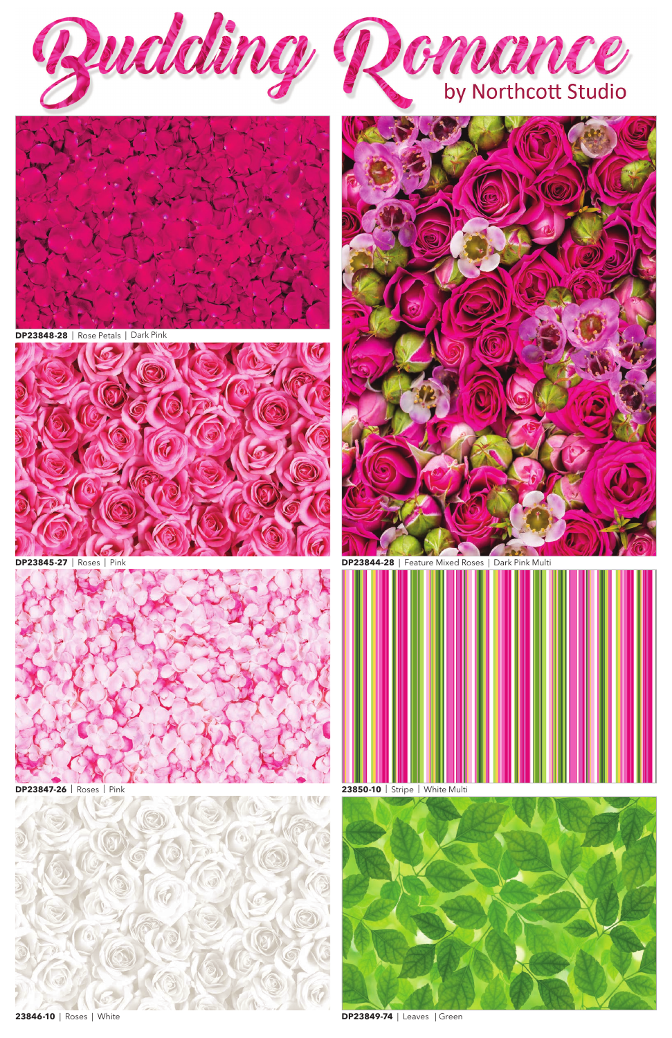

**DP23845-27** | Roses | Pink **DP23844-28** | Feature Mixed Roses | Dark Pink Multi









**DP23848-28** | Rose Petals | Dark Pink





**DP23847-26** | Roses | Pink



**23846-10** | Roses | White

**23850-10** | Stripe | White Multi



**DP23849-74** | Leaves | Green